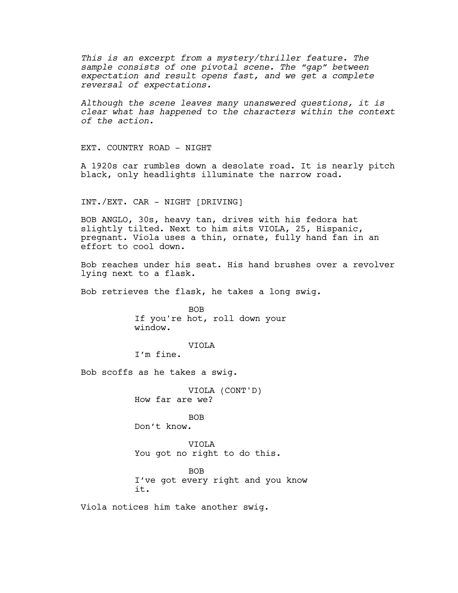*This is an excerpt from a mystery/thriller feature. The sample consists of one pivotal scene. The "gap" between expectation and result opens fast, and we get a complete reversal of expectations.*

*Although the scene leaves many unanswered questions, it is clear what has happened to the characters within the context of the action.*

EXT. COUNTRY ROAD - NIGHT

A 1920s car rumbles down a desolate road. It is nearly pitch black, only headlights illuminate the narrow road.

INT./EXT. CAR - NIGHT [DRIVING]

BOB ANGLO, 30s, heavy tan, drives with his fedora hat slightly tilted. Next to him sits VIOLA, 25, Hispanic, pregnant. Viola uses a thin, ornate, fully hand fan in an effort to cool down.

Bob reaches under his seat. His hand brushes over a revolver lying next to a flask.

Bob retrieves the flask, he takes a long swig.

BOB If you're hot, roll down your window.

VIOLA

I'm fine.

Bob scoffs as he takes a swig.

VIOLA (CONT'D) How far are we?

BOB Don't know.

VIOLA You got no right to do this.

BOB I've got every right and you know it.

Viola notices him take another swig.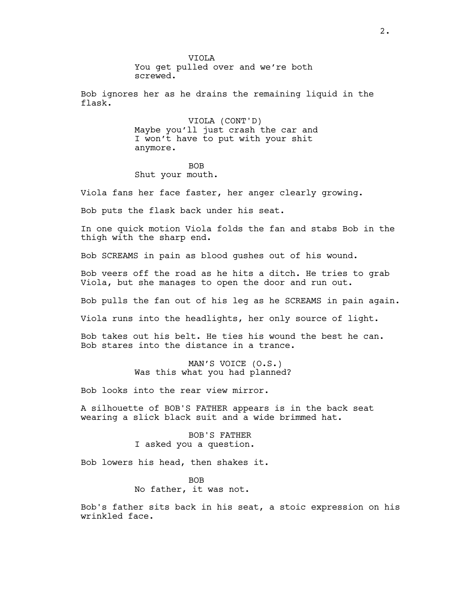VIOLA You get pulled over and we're both screwed.

Bob ignores her as he drains the remaining liquid in the flask.

> VIOLA (CONT'D) Maybe you'll just crash the car and I won't have to put with your shit anymore.

BOB Shut your mouth.

Viola fans her face faster, her anger clearly growing.

Bob puts the flask back under his seat.

In one quick motion Viola folds the fan and stabs Bob in the thigh with the sharp end.

Bob SCREAMS in pain as blood gushes out of his wound.

Bob veers off the road as he hits a ditch. He tries to grab Viola, but she manages to open the door and run out.

Bob pulls the fan out of his leg as he SCREAMS in pain again.

Viola runs into the headlights, her only source of light.

Bob takes out his belt. He ties his wound the best he can. Bob stares into the distance in a trance.

> MAN'S VOICE (O.S.) Was this what you had planned?

Bob looks into the rear view mirror.

A silhouette of BOB'S FATHER appears is in the back seat wearing a slick black suit and a wide brimmed hat.

> BOB'S FATHER I asked you a question.

Bob lowers his head, then shakes it.

BOB No father, it was not.

Bob's father sits back in his seat, a stoic expression on his wrinkled face.